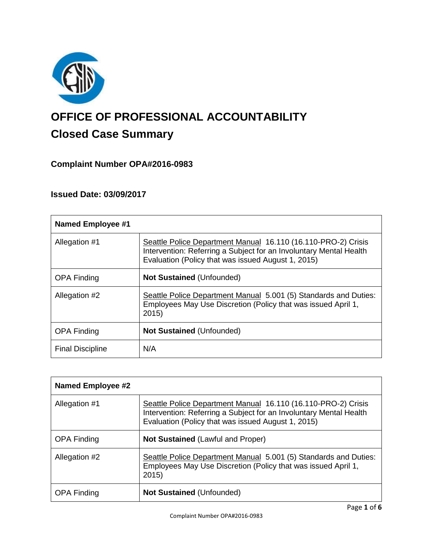

# **OFFICE OF PROFESSIONAL ACCOUNTABILITY Closed Case Summary**

# **Complaint Number OPA#2016-0983**

# **Issued Date: 03/09/2017**

| <b>Named Employee #1</b> |                                                                                                                                                                                           |
|--------------------------|-------------------------------------------------------------------------------------------------------------------------------------------------------------------------------------------|
| Allegation #1            | Seattle Police Department Manual 16.110 (16.110-PRO-2) Crisis<br>Intervention: Referring a Subject for an Involuntary Mental Health<br>Evaluation (Policy that was issued August 1, 2015) |
| <b>OPA Finding</b>       | <b>Not Sustained (Unfounded)</b>                                                                                                                                                          |
| Allegation #2            | Seattle Police Department Manual 5.001 (5) Standards and Duties:<br>Employees May Use Discretion (Policy that was issued April 1,<br>2015                                                 |
| <b>OPA Finding</b>       | <b>Not Sustained (Unfounded)</b>                                                                                                                                                          |
| <b>Final Discipline</b>  | N/A                                                                                                                                                                                       |

| <b>Named Employee #2</b> |                                                                                                                                                                                           |
|--------------------------|-------------------------------------------------------------------------------------------------------------------------------------------------------------------------------------------|
| Allegation #1            | Seattle Police Department Manual 16.110 (16.110-PRO-2) Crisis<br>Intervention: Referring a Subject for an Involuntary Mental Health<br>Evaluation (Policy that was issued August 1, 2015) |
| <b>OPA Finding</b>       | <b>Not Sustained (Lawful and Proper)</b>                                                                                                                                                  |
| Allegation #2            | Seattle Police Department Manual 5.001 (5) Standards and Duties:<br>Employees May Use Discretion (Policy that was issued April 1,<br>2015                                                 |
| <b>OPA Finding</b>       | <b>Not Sustained (Unfounded)</b>                                                                                                                                                          |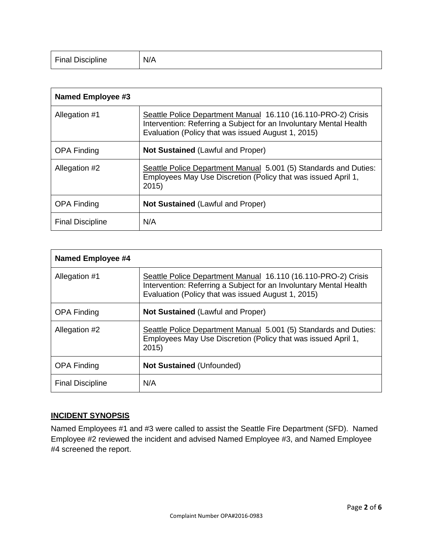| <b>Final Discipline</b> | N/A |
|-------------------------|-----|
|-------------------------|-----|

| <b>Named Employee #3</b> |                                                                                                                                                                                           |
|--------------------------|-------------------------------------------------------------------------------------------------------------------------------------------------------------------------------------------|
| Allegation #1            | Seattle Police Department Manual 16.110 (16.110-PRO-2) Crisis<br>Intervention: Referring a Subject for an Involuntary Mental Health<br>Evaluation (Policy that was issued August 1, 2015) |
| <b>OPA Finding</b>       | <b>Not Sustained (Lawful and Proper)</b>                                                                                                                                                  |
| Allegation #2            | Seattle Police Department Manual 5.001 (5) Standards and Duties:<br>Employees May Use Discretion (Policy that was issued April 1,<br>2015                                                 |
| <b>OPA Finding</b>       | <b>Not Sustained (Lawful and Proper)</b>                                                                                                                                                  |
| <b>Final Discipline</b>  | N/A                                                                                                                                                                                       |

| <b>Named Employee #4</b> |                                                                                                                                                                                           |
|--------------------------|-------------------------------------------------------------------------------------------------------------------------------------------------------------------------------------------|
| Allegation #1            | Seattle Police Department Manual 16.110 (16.110-PRO-2) Crisis<br>Intervention: Referring a Subject for an Involuntary Mental Health<br>Evaluation (Policy that was issued August 1, 2015) |
| <b>OPA Finding</b>       | <b>Not Sustained (Lawful and Proper)</b>                                                                                                                                                  |
| Allegation #2            | Seattle Police Department Manual 5.001 (5) Standards and Duties:<br>Employees May Use Discretion (Policy that was issued April 1,<br>2015                                                 |
| <b>OPA Finding</b>       | <b>Not Sustained (Unfounded)</b>                                                                                                                                                          |
| <b>Final Discipline</b>  | N/A                                                                                                                                                                                       |

# **INCIDENT SYNOPSIS**

Named Employees #1 and #3 were called to assist the Seattle Fire Department (SFD). Named Employee #2 reviewed the incident and advised Named Employee #3, and Named Employee #4 screened the report.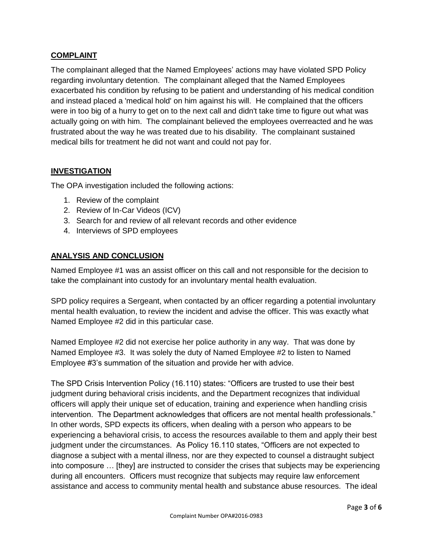## **COMPLAINT**

The complainant alleged that the Named Employees' actions may have violated SPD Policy regarding involuntary detention. The complainant alleged that the Named Employees exacerbated his condition by refusing to be patient and understanding of his medical condition and instead placed a 'medical hold' on him against his will. He complained that the officers were in too big of a hurry to get on to the next call and didn't take time to figure out what was actually going on with him. The complainant believed the employees overreacted and he was frustrated about the way he was treated due to his disability. The complainant sustained medical bills for treatment he did not want and could not pay for.

## **INVESTIGATION**

The OPA investigation included the following actions:

- 1. Review of the complaint
- 2. Review of In-Car Videos (ICV)
- 3. Search for and review of all relevant records and other evidence
- 4. Interviews of SPD employees

## **ANALYSIS AND CONCLUSION**

Named Employee #1 was an assist officer on this call and not responsible for the decision to take the complainant into custody for an involuntary mental health evaluation.

SPD policy requires a Sergeant, when contacted by an officer regarding a potential involuntary mental health evaluation, to review the incident and advise the officer. This was exactly what Named Employee #2 did in this particular case.

Named Employee #2 did not exercise her police authority in any way. That was done by Named Employee #3. It was solely the duty of Named Employee #2 to listen to Named Employee #3's summation of the situation and provide her with advice.

The SPD Crisis Intervention Policy (16.110) states: "Officers are trusted to use their best judgment during behavioral crisis incidents, and the Department recognizes that individual officers will apply their unique set of education, training and experience when handling crisis intervention. The Department acknowledges that officers are not mental health professionals." In other words, SPD expects its officers, when dealing with a person who appears to be experiencing a behavioral crisis, to access the resources available to them and apply their best judgment under the circumstances. As Policy 16.110 states, "Officers are not expected to diagnose a subject with a mental illness, nor are they expected to counsel a distraught subject into composure … [they] are instructed to consider the crises that subjects may be experiencing during all encounters. Officers must recognize that subjects may require law enforcement assistance and access to community mental health and substance abuse resources. The ideal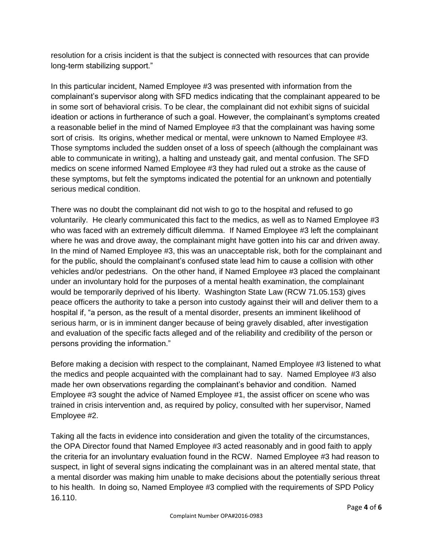resolution for a crisis incident is that the subject is connected with resources that can provide long-term stabilizing support."

In this particular incident, Named Employee #3 was presented with information from the complainant's supervisor along with SFD medics indicating that the complainant appeared to be in some sort of behavioral crisis. To be clear, the complainant did not exhibit signs of suicidal ideation or actions in furtherance of such a goal. However, the complainant's symptoms created a reasonable belief in the mind of Named Employee #3 that the complainant was having some sort of crisis. Its origins, whether medical or mental, were unknown to Named Employee #3. Those symptoms included the sudden onset of a loss of speech (although the complainant was able to communicate in writing), a halting and unsteady gait, and mental confusion. The SFD medics on scene informed Named Employee #3 they had ruled out a stroke as the cause of these symptoms, but felt the symptoms indicated the potential for an unknown and potentially serious medical condition.

There was no doubt the complainant did not wish to go to the hospital and refused to go voluntarily. He clearly communicated this fact to the medics, as well as to Named Employee #3 who was faced with an extremely difficult dilemma. If Named Employee #3 left the complainant where he was and drove away, the complainant might have gotten into his car and driven away. In the mind of Named Employee #3, this was an unacceptable risk, both for the complainant and for the public, should the complainant's confused state lead him to cause a collision with other vehicles and/or pedestrians. On the other hand, if Named Employee #3 placed the complainant under an involuntary hold for the purposes of a mental health examination, the complainant would be temporarily deprived of his liberty. Washington State Law (RCW 71.05.153) gives peace officers the authority to take a person into custody against their will and deliver them to a hospital if, "a person, as the result of a mental disorder, presents an imminent likelihood of serious harm, or is in imminent danger because of being gravely disabled, after investigation and evaluation of the specific facts alleged and of the reliability and credibility of the person or persons providing the information."

Before making a decision with respect to the complainant, Named Employee #3 listened to what the medics and people acquainted with the complainant had to say. Named Employee #3 also made her own observations regarding the complainant's behavior and condition. Named Employee #3 sought the advice of Named Employee #1, the assist officer on scene who was trained in crisis intervention and, as required by policy, consulted with her supervisor, Named Employee #2.

Taking all the facts in evidence into consideration and given the totality of the circumstances, the OPA Director found that Named Employee #3 acted reasonably and in good faith to apply the criteria for an involuntary evaluation found in the RCW. Named Employee #3 had reason to suspect, in light of several signs indicating the complainant was in an altered mental state, that a mental disorder was making him unable to make decisions about the potentially serious threat to his health. In doing so, Named Employee #3 complied with the requirements of SPD Policy 16.110.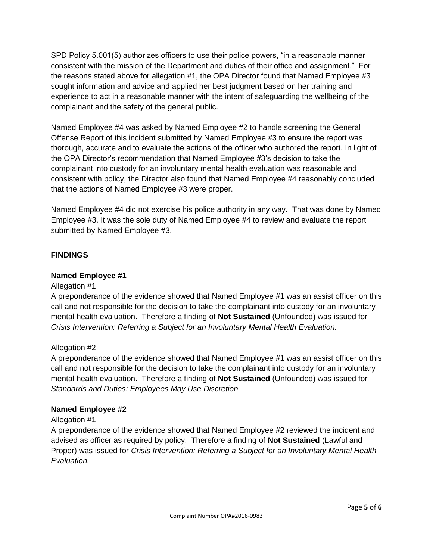SPD Policy 5.001(5) authorizes officers to use their police powers, "in a reasonable manner consistent with the mission of the Department and duties of their office and assignment." For the reasons stated above for allegation #1, the OPA Director found that Named Employee #3 sought information and advice and applied her best judgment based on her training and experience to act in a reasonable manner with the intent of safeguarding the wellbeing of the complainant and the safety of the general public.

Named Employee #4 was asked by Named Employee #2 to handle screening the General Offense Report of this incident submitted by Named Employee #3 to ensure the report was thorough, accurate and to evaluate the actions of the officer who authored the report. In light of the OPA Director's recommendation that Named Employee #3's decision to take the complainant into custody for an involuntary mental health evaluation was reasonable and consistent with policy, the Director also found that Named Employee #4 reasonably concluded that the actions of Named Employee #3 were proper.

Named Employee #4 did not exercise his police authority in any way. That was done by Named Employee #3. It was the sole duty of Named Employee #4 to review and evaluate the report submitted by Named Employee #3.

# **FINDINGS**

#### **Named Employee #1**

#### Allegation #1

A preponderance of the evidence showed that Named Employee #1 was an assist officer on this call and not responsible for the decision to take the complainant into custody for an involuntary mental health evaluation. Therefore a finding of **Not Sustained** (Unfounded) was issued for *Crisis Intervention: Referring a Subject for an Involuntary Mental Health Evaluation.*

#### Allegation #2

A preponderance of the evidence showed that Named Employee #1 was an assist officer on this call and not responsible for the decision to take the complainant into custody for an involuntary mental health evaluation. Therefore a finding of **Not Sustained** (Unfounded) was issued for *Standards and Duties: Employees May Use Discretion.*

#### **Named Employee #2**

#### Allegation #1

A preponderance of the evidence showed that Named Employee #2 reviewed the incident and advised as officer as required by policy. Therefore a finding of **Not Sustained** (Lawful and Proper) was issued for *Crisis Intervention: Referring a Subject for an Involuntary Mental Health Evaluation.*